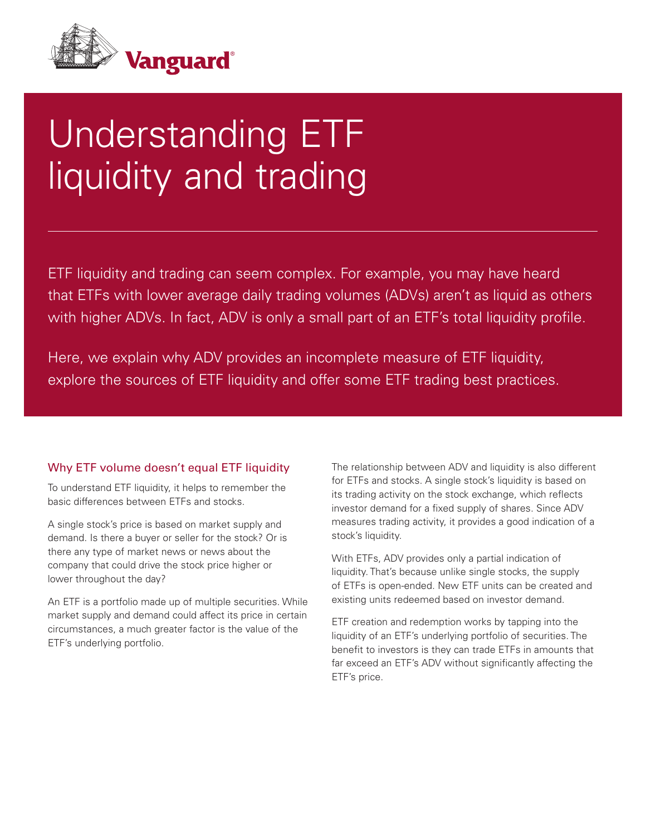

# Understanding ETF liquidity and trading

ETF liquidity and trading can seem complex. For example, you may have heard that ETFs with lower average daily trading volumes (ADVs) aren't as liquid as others with higher ADVs. In fact, ADV is only a small part of an ETF's total liquidity profile.

Here, we explain why ADV provides an incomplete measure of ETF liquidity, explore the sources of ETF liquidity and offer some ETF trading best practices.

# Why ETF volume doesn't equal ETF liquidity

To understand ETF liquidity, it helps to remember the basic differences between ETFs and stocks.

A single stock's price is based on market supply and demand. Is there a buyer or seller for the stock? Or is there any type of market news or news about the company that could drive the stock price higher or lower throughout the day?

An ETF is a portfolio made up of multiple securities. While market supply and demand could affect its price in certain circumstances, a much greater factor is the value of the ETF's underlying portfolio.

The relationship between ADV and liquidity is also different for ETFs and stocks. A single stock's liquidity is based on its trading activity on the stock exchange, which reflects investor demand for a fixed supply of shares. Since ADV measures trading activity, it provides a good indication of a stock's liquidity.

With ETFs, ADV provides only a partial indication of liquidity. That's because unlike single stocks, the supply of ETFs is open-ended. New ETF units can be created and existing units redeemed based on investor demand.

ETF creation and redemption works by tapping into the liquidity of an ETF's underlying portfolio of securities. The benefit to investors is they can trade ETFs in amounts that far exceed an ETF's ADV without significantly affecting the ETF's price.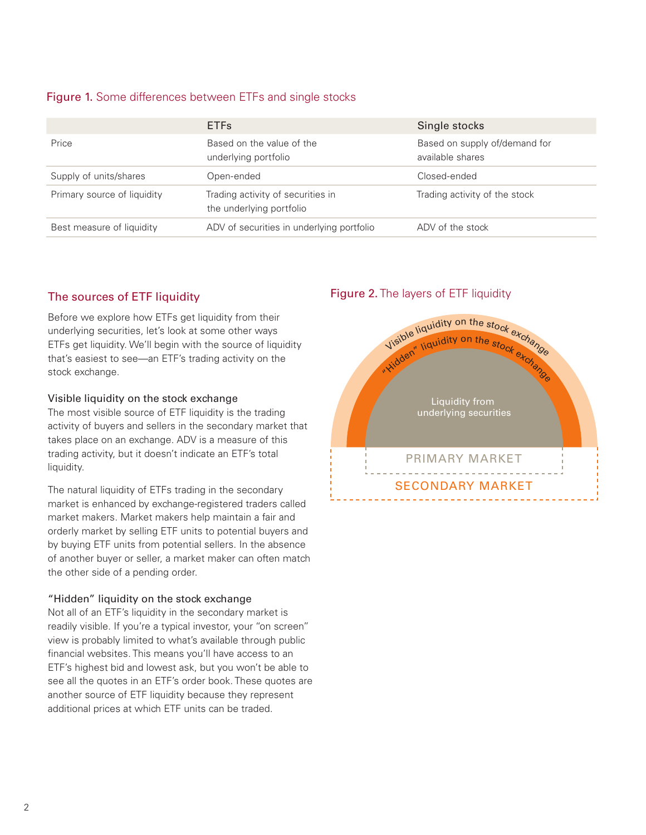# Figure 1. Some differences between ETFs and single stocks

|                             | <b>ETFs</b>                                                   | Single stocks                                     |
|-----------------------------|---------------------------------------------------------------|---------------------------------------------------|
| Price                       | Based on the value of the<br>underlying portfolio             | Based on supply of/demand for<br>available shares |
| Supply of units/shares      | Open-ended                                                    | Closed-ended                                      |
| Primary source of liquidity | Trading activity of securities in<br>the underlying portfolio | Trading activity of the stock                     |
| Best measure of liquidity   | ADV of securities in underlying portfolio                     | ADV of the stock                                  |

# The sources of ETF liquidity

Before we explore how ETFs get liquidity from their underlying securities, let's look at some other ways ETFs get liquidity. We'll begin with the source of liquidity that's easiest to see—an ETF's trading activity on the stock exchange.

#### Visible liquidity on the stock exchange

The most visible source of ETF liquidity is the trading activity of buyers and sellers in the secondary market that takes place on an exchange. ADV is a measure of this trading activity, but it doesn't indicate an ETF's total liquidity.

The natural liquidity of ETFs trading in the secondary market is enhanced by exchange-registered traders called market makers. Market makers help maintain a fair and orderly market by selling ETF units to potential buyers and by buying ETF units from potential sellers. In the absence of another buyer or seller, a market maker can often match the other side of a pending order.

#### "Hidden" liquidity on the stock exchange

Not all of an ETF's liquidity in the secondary market is readily visible. If you're a typical investor, your "on screen" view is probably limited to what's available through public financial websites. This means you'll have access to an ETF's highest bid and lowest ask, but you won't be able to see all the quotes in an ETF's order book. These quotes are another source of ETF liquidity because they represent additional prices at which ETF units can be traded.

# Figure 2. The layers of ETF liquidity

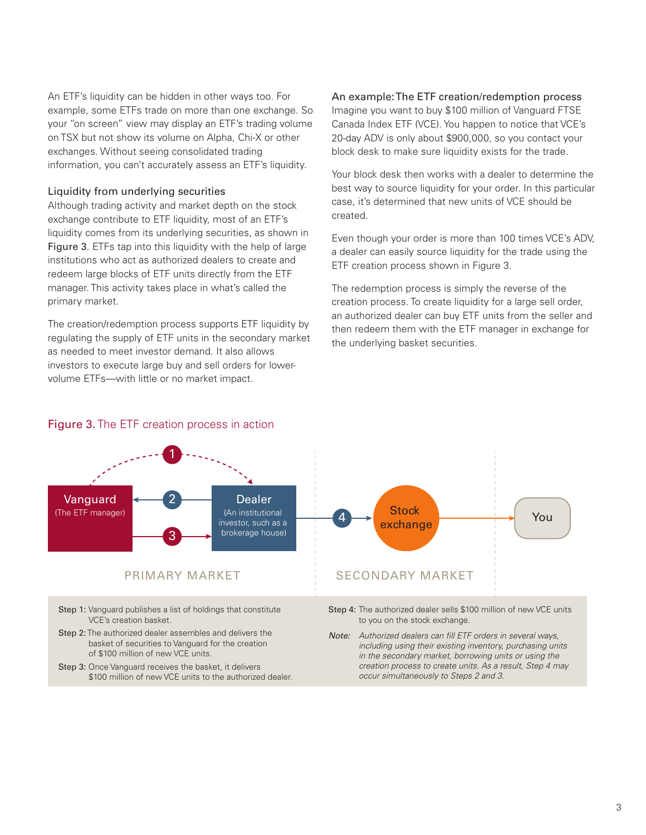An ETF's liquidity can be hidden in other ways too. For example, some ETFs trade on more than one exchange. So your "on screen" view may display an ETF's trading volume on TSX but not show its volume on Alpha, Chi-X or other exchanges. Without seeing consolidated trading information, you can't accurately assess an ETF's liquidity.

#### Liquidity from underlying securities

Although trading activity and market depth on the stock exchange contribute to ETF liquidity, most of an ETF's liquidity comes from its underlying securities, as shown in Figure 3. ETFs tap into this liquidity with the help of large institutions who act as authorized dealers to create and redeem large blocks of ETF units directly from the ETF manager. This activity takes place in what's called the primary market.

The creation/redemption process supports ETF liquidity by regulating the supply of ETF units in the secondary market as needed to meet investor demand. It also allows investors to execute large buy and sell orders for lowervolume ETFs—with little or no market impact.

#### An example: The ETF creation/redemption process

Imagine you want to buy \$100 million of Vanguard FTSE Canada Index ETF (VCE). You happen to notice that VCE's 20-day ADV is only about \$900,000, so you contact your block desk to make sure liquidity exists for the trade.

Your block desk then works with a dealer to determine the best way to source liquidity for your order. In this particular case, it's determined that new units of VCE should be created.

Even though your order is more than 100 times VCE's ADV, a dealer can easily source liquidity for the trade using the ETF creation process shown in Figure 3.

The redemption process is simply the reverse of the creation process. To create liquidity for a large sell order, an authorized dealer can buy ETF units from the seller and then redeem them with the ETF manager in exchange for the underlying basket securities.

occur simultaneously to Steps 2 and 3.





\$100 million of new VCE units to the authorized dealer.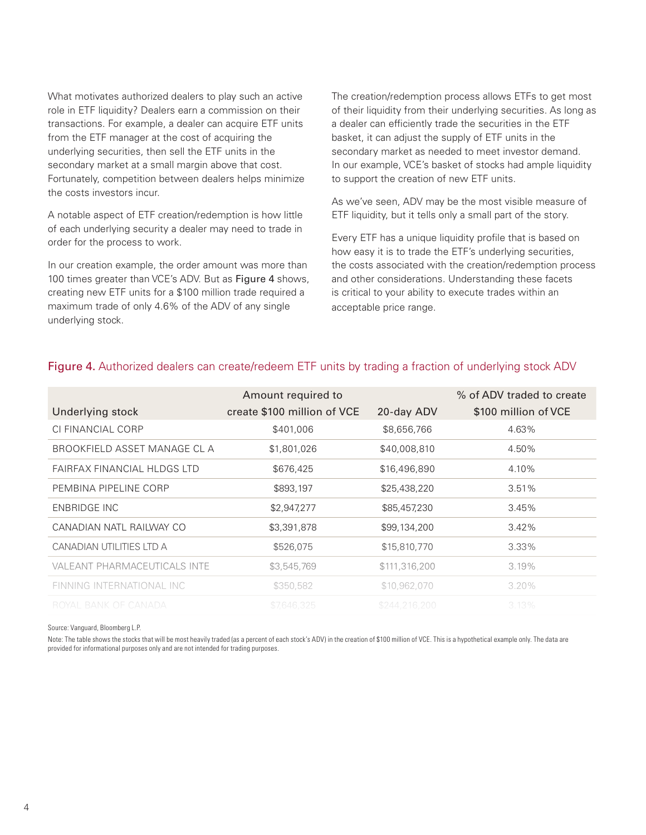What motivates authorized dealers to play such an active role in ETF liquidity? Dealers earn a commission on their transactions. For example, a dealer can acquire ETF units from the ETF manager at the cost of acquiring the underlying securities, then sell the ETF units in the secondary market at a small margin above that cost. Fortunately, competition between dealers helps minimize the costs investors incur.

A notable aspect of ETF creation/redemption is how little of each underlying security a dealer may need to trade in order for the process to work.

In our creation example, the order amount was more than 100 times greater than VCE's ADV. But as Figure 4 shows, creating new ETF units for a \$100 million trade required a maximum trade of only 4.6% of the ADV of any single underlying stock.

The creation/redemption process allows ETFs to get most of their liquidity from their underlying securities. As long as a dealer can efficiently trade the securities in the ETF basket, it can adjust the supply of ETF units in the secondary market as needed to meet investor demand. In our example, VCE's basket of stocks had ample liquidity to support the creation of new ETF units.

As we've seen, ADV may be the most visible measure of ETF liquidity, but it tells only a small part of the story.

Every ETF has a unique liquidity profile that is based on how easy it is to trade the ETF's underlying securities, the costs associated with the creation/redemption process and other considerations. Understanding these facets is critical to your ability to execute trades within an acceptable price range.

| Underlying stock             | Amount required to<br>create \$100 million of VCE | 20-day ADV    | % of ADV traded to create<br>\$100 million of VCE |
|------------------------------|---------------------------------------------------|---------------|---------------------------------------------------|
| CI FINANCIAL CORP            | \$401,006                                         | \$8,656,766   | 4.63%                                             |
| BROOKFIELD ASSET MANAGE CL A | \$1,801,026                                       | \$40,008,810  | 4.50%                                             |
| FAIRFAX FINANCIAL HLDGS LTD  | \$676,425                                         | \$16,496,890  | 4.10%                                             |
| PEMBINA PIPELINE CORP        | \$893,197                                         | \$25,438,220  | 3.51%                                             |
| ENBRIDGE INC                 | \$2,947,277                                       | \$85,457,230  | 3.45%                                             |
| CANADIAN NATL RAILWAY CO     | \$3,391,878                                       | \$99,134,200  | 3.42%                                             |
| CANADIAN UTILITIES LTD A     | \$526,075                                         | \$15,810,770  | $3.33\%$                                          |
| VALEANT PHARMACEUTICALS INTE | \$3,545,769                                       | \$111,316,200 | 3.19%                                             |
| FINNING INTERNATIONAL INC    | \$350,582                                         | \$10,962,070  | $3.20\%$                                          |
| ROYAL BANK OF CANADA         | \$7.646.325                                       | \$244,216,200 | 3.13%                                             |

# Figure 4. Authorized dealers can create/redeem ETF units by trading a fraction of underlying stock ADV

Source: Vanguard, Bloomberg L.P.

Note: The table shows the stocks that will be most heavily traded (as a percent of each stock's ADV) in the creation of \$100 million of VCE. This is a hypothetical example only. The data are provided for informational purposes only and are not intended for trading purposes.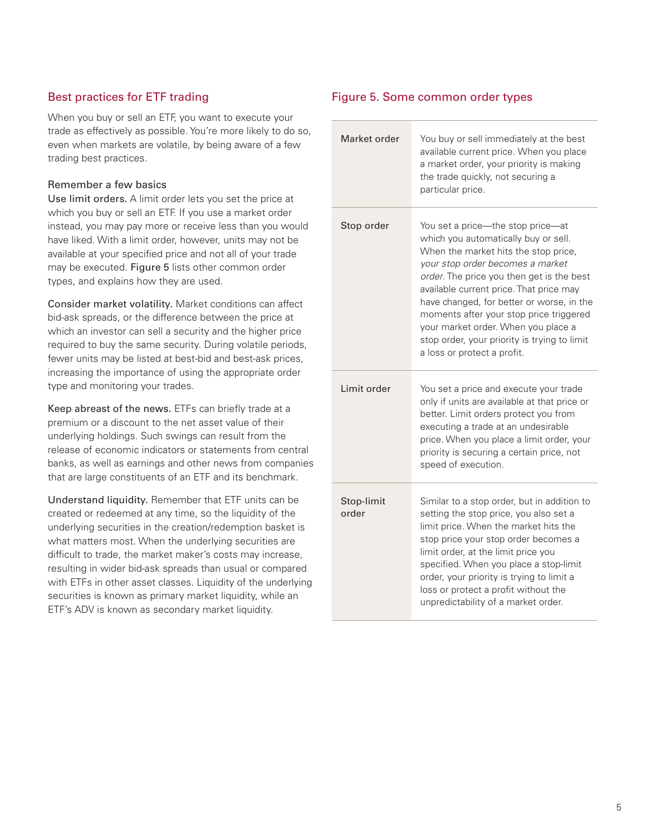# Best practices for ETF trading

When you buy or sell an ETF, you want to execute your trade as effectively as possible. You're more likely to do so, even when markets are volatile, by being aware of a few trading best practices.

#### Remember a few basics

Use limit orders. A limit order lets you set the price at which you buy or sell an ETF. If you use a market order instead, you may pay more or receive less than you would have liked. With a limit order, however, units may not be available at your specified price and not all of your trade may be executed. Figure 5 lists other common order types, and explains how they are used.

Consider market volatility. Market conditions can affect bid-ask spreads, or the difference between the price at which an investor can sell a security and the higher price required to buy the same security. During volatile periods, fewer units may be listed at best-bid and best-ask prices, increasing the importance of using the appropriate order type and monitoring your trades.

Keep abreast of the news. ETFs can briefly trade at a premium or a discount to the net asset value of their underlying holdings. Such swings can result from the release of economic indicators or statements from central banks, as well as earnings and other news from companies that are large constituents of an ETF and its benchmark.

Understand liquidity. Remember that ETF units can be created or redeemed at any time, so the liquidity of the underlying securities in the creation/redemption basket is what matters most. When the underlying securities are difficult to trade, the market maker's costs may increase, resulting in wider bid-ask spreads than usual or compared with ETFs in other asset classes. Liquidity of the underlying securities is known as primary market liquidity, while an ETF's ADV is known as secondary market liquidity.

#### Figure 5. Some common order types

| Market order        | You buy or sell immediately at the best<br>available current price. When you place<br>a market order, your priority is making<br>the trade quickly, not securing a<br>particular price.                                                                                                                                                                                                                                                                     |
|---------------------|-------------------------------------------------------------------------------------------------------------------------------------------------------------------------------------------------------------------------------------------------------------------------------------------------------------------------------------------------------------------------------------------------------------------------------------------------------------|
| Stop order          | You set a price-the stop price-at<br>which you automatically buy or sell.<br>When the market hits the stop price,<br>your stop order becomes a market<br>order. The price you then get is the best<br>available current price. That price may<br>have changed, for better or worse, in the<br>moments after your stop price triggered<br>your market order. When you place a<br>stop order, your priority is trying to limit<br>a loss or protect a profit. |
| Limit order         | You set a price and execute your trade<br>only if units are available at that price or<br>better. Limit orders protect you from<br>executing a trade at an undesirable<br>price. When you place a limit order, your<br>priority is securing a certain price, not<br>speed of execution.                                                                                                                                                                     |
| Stop-limit<br>order | Similar to a stop order, but in addition to<br>setting the stop price, you also set a<br>limit price. When the market hits the<br>stop price your stop order becomes a<br>limit order, at the limit price you<br>specified. When you place a stop-limit<br>order, your priority is trying to limit a<br>loss or protect a profit without the<br>unpredictability of a market order.                                                                         |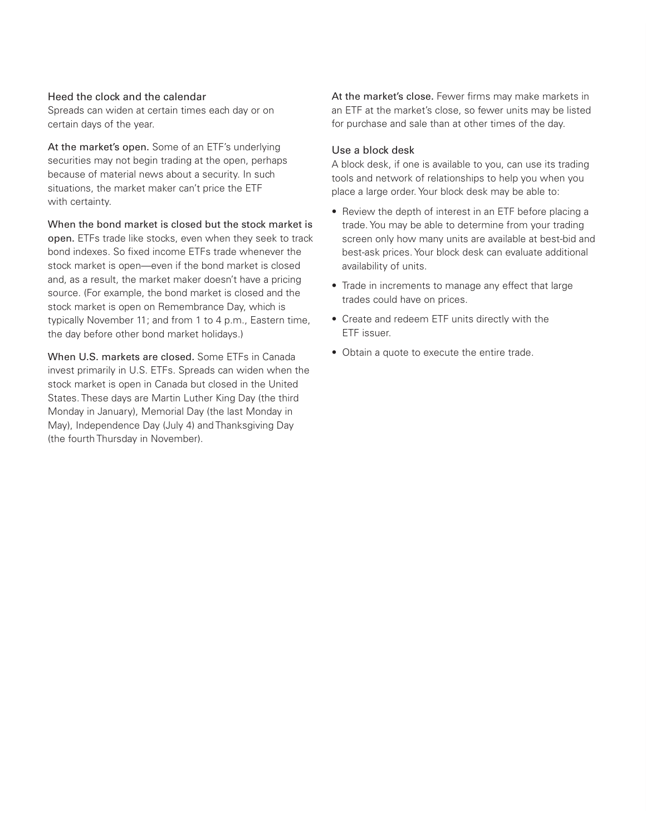#### Heed the clock and the calendar

Spreads can widen at certain times each day or on certain days of the year.

At the market's open. Some of an ETF's underlying securities may not begin trading at the open, perhaps because of material news about a security. In such situations, the market maker can't price the ETF with certainty.

When the bond market is closed but the stock market is

open. ETFs trade like stocks, even when they seek to track bond indexes. So fixed income ETFs trade whenever the stock market is open—even if the bond market is closed and, as a result, the market maker doesn't have a pricing source. (For example, the bond market is closed and the stock market is open on Remembrance Day, which is typically November 11; and from 1 to 4 p.m., Eastern time, the day before other bond market holidays.)

When U.S. markets are closed. Some ETFs in Canada invest primarily in U.S. ETFs. Spreads can widen when the stock market is open in Canada but closed in the United States. These days are Martin Luther King Day (the third Monday in January), Memorial Day (the last Monday in May), Independence Day (July 4) and Thanksgiving Day (the fourth Thursday in November).

At the market's close. Fewer firms may make markets in an ETF at the market's close, so fewer units may be listed for purchase and sale than at other times of the day.

#### Use a block desk

A block desk, if one is available to you, can use its trading tools and network of relationships to help you when you place a large order. Your block desk may be able to:

- Review the depth of interest in an ETF before placing a trade. You may be able to determine from your trading screen only how many units are available at best-bid and best-ask prices. Your block desk can evaluate additional availability of units.
- Trade in increments to manage any effect that large trades could have on prices.
- Create and redeem ETF units directly with the ETF issuer.
- Obtain a quote to execute the entire trade.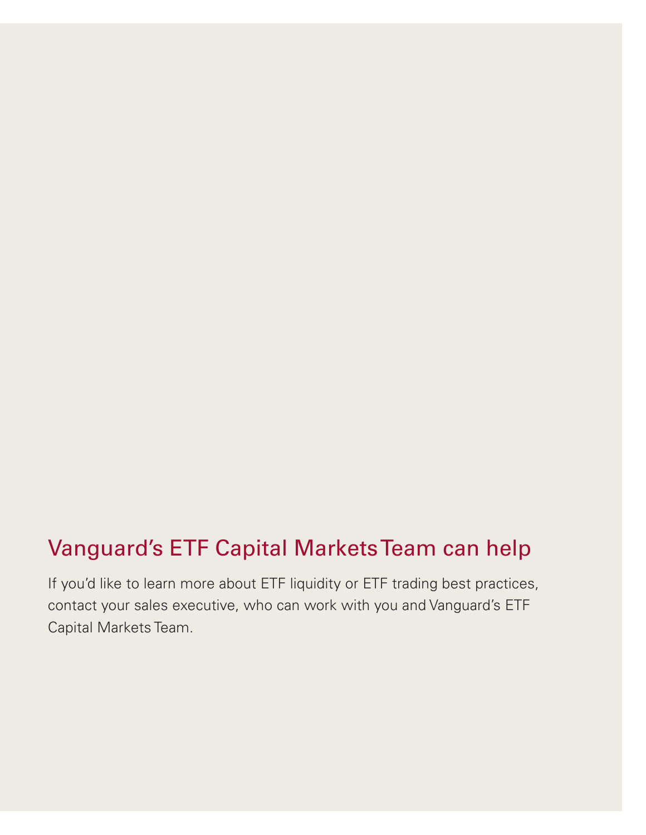# Vanguard's ETF Capital Markets Team can help

If you'd like to learn more about ETF liquidity or ETF trading best practices, contact your sales executive, who can work with you and Vanguard's ETF Capital Markets Team.